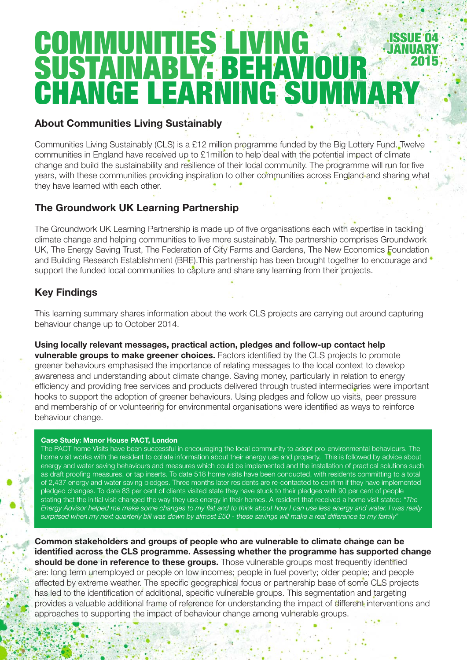# **COMMUNITIES LIV** SUSTAINABLY<del>:</del> BEHAV<br>CHANGE LEARNING S NING SUMM Issue 04 **JANUARY** 2015

## About Communities Living Sustainably

Communities Living Sustainably (CLS) is a £12 million programme funded by the Big Lottery Fund. Twelve communities in England have received up to £1million to help deal with the potential impact of climate change and build the sustainability and resilience of their local community. The programme will run for five years, with these communities providing inspiration to other communities across England and sharing what they have learned with each other.

## The Groundwork UK Learning Partnership

The Groundwork UK Learning Partnership is made up of five organisations each with expertise in tackling climate change and helping communities to live more sustainably. The partnership comprises Groundwork UK, The Energy Saving Trust, The Federation of City Farms and Gardens, The New Economics Foundation and Building Research Establishment (BRE). This partnership has been brought together to encourage and  $\bullet$ support the funded local communities to capture and share any learning from their projects.

## Key Findings

This learning summary shares information about the work CLS projects are carrying out around capturing behaviour change up to October 2014.

Using locally relevant messages, practical action, pledges and follow-up contact help vulnerable groups to make greener choices. Factors identified by the CLS projects to promote greener behaviours emphasised the importance of relating messages to the local context to develop awareness and understanding about climate change. Saving money, particularly in relation to energy efficiency and providing free services and products delivered through trusted intermediaries were important hooks to support the adoption of greener behaviours. Using pledges and follow up visits, peer pressure and membership of or volunteering for environmental organisations were identified as ways to reinforce behaviour change.

#### Case Study: Manor House PACT, London

The PACT home Visits have been successful in encouraging the local community to adopt pro-environmental behaviours. The home visit works with the resident to collate information about their energy use and property. This is followed by advice about energy and water saving behaviours and measures which could be implemented and the installation of practical solutions such as draft proofing measures, or tap inserts. To date 518 home visits have been conducted, with residents committing to a total of 2,437 energy and water saving pledges. Three months later residents are re-contacted to confirm if they have implemented pledged changes. To date 83 per cent of clients visited state they have stuck to their pledges with 90 per cent of people stating that the initial visit changed the way they use energy in their homes. A resident that received a home visit stated: *"The Energy Advisor helped me make some changes to my flat and to think about how I can use less energy and water. I was really surprised when my next quarterly bill was down by almost £50 - these savings will make a real difference to my family"*

Common stakeholders and groups of people who are vulnerable to climate change can be identified across the CLS programme. Assessing whether the programme has supported change should be done in reference to these groups. Those vulnerable groups most frequently identified are: long term unemployed or people on low incomes; people in fuel poverty; older people; and people affected by extreme weather. The specific geographical focus or partnership base of some CLS projects has led to the identification of additional, specific vulnerable groups. This segmentation and targeting provides a valuable additional frame of reference for understanding the impact of different interventions and approaches to supporting the impact of behaviour change among vulnerable groups.